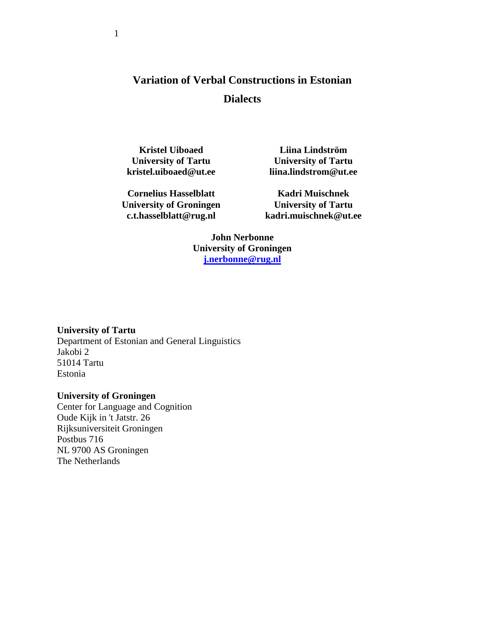# **Variation of Verbal Constructions in Estonian Dialects**

**Kristel Uiboaed University of Tartu kristel.uiboaed@ut.ee**

**Cornelius Hasselblatt University of Groningen c.t.hasselblatt@rug.nl**

**Liina Lindström University of Tartu liina.lindstrom@ut.ee**

**Kadri Muischnek University of Tartu kadri.muischnek@ut.ee**

**John Nerbonne University of Groningen [j.nerbonne@rug.nl](mailto:j.nerbonne@rug.nl)**

**University of Tartu**

Department of Estonian and General Linguistics Jakobi 2 51014 Tartu Estonia

#### **University of Groningen**

Center for Language and Cognition Oude Kijk in 't Jatstr. 26 [Rijksuniversiteit Groningen](http://www.rug.nl/) Postbus 716 NL 9700 AS Groningen The Netherlands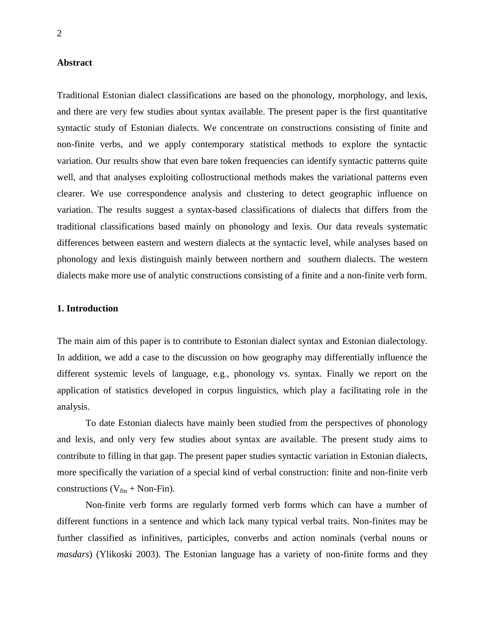#### **Abstract**

Traditional Estonian dialect classifications are based on the phonology, morphology, and lexis, and there are very few studies about syntax available. The present paper is the first quantitative syntactic study of Estonian dialects. We concentrate on constructions consisting of finite and non-finite verbs, and we apply contemporary statistical methods to explore the syntactic variation. Our results show that even bare token frequencies can identify syntactic patterns quite well, and that analyses exploiting collostructional methods makes the variational patterns even clearer. We use correspondence analysis and clustering to detect geographic influence on variation. The results suggest a syntax-based classifications of dialects that differs from the traditional classifications based mainly on phonology and lexis. Our data reveals systematic differences between eastern and western dialects at the syntactic level, while analyses based on phonology and lexis distinguish mainly between northern and southern dialects. The western dialects make more use of analytic constructions consisting of a finite and a non-finite verb form.

#### **1. Introduction**

The main aim of this paper is to contribute to Estonian dialect syntax and Estonian dialectology. In addition, we add a case to the discussion on how geography may differentially influence the different systemic levels of language, e.g., phonology vs. syntax. Finally we report on the application of statistics developed in corpus linguistics, which play a facilitating role in the analysis.

To date Estonian dialects have mainly been studied from the perspectives of phonology and lexis, and only very few studies about syntax are available. The present study aims to contribute to filling in that gap. The present paper studies syntactic variation in Estonian dialects, more specifically the variation of a special kind of verbal construction: finite and non-finite verb constructions ( $V_{fin}$  + Non-Fin).

Non-finite verb forms are regularly formed verb forms which can have a number of different functions in a sentence and which lack many typical verbal traits. Non-finites may be further classified as infinitives, participles, converbs and action nominals (verbal nouns or *masdars*) (Ylikoski 2003). The Estonian language has a variety of non-finite forms and they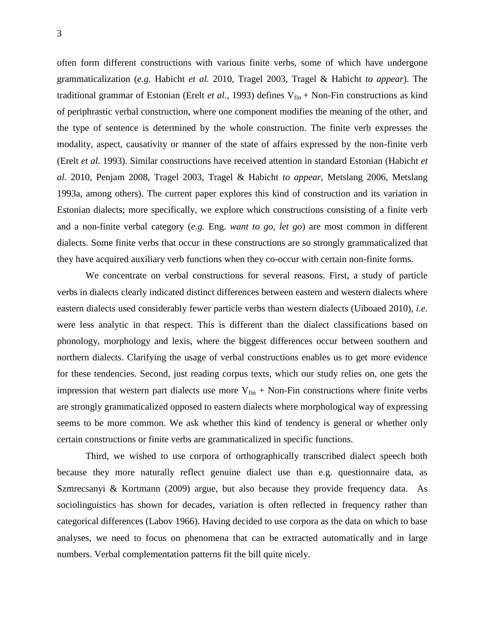often form different constructions with various finite verbs, some of which have undergone grammaticalization (*e.g.* Habicht *et al.* 2010, Tragel 2003, Tragel & Habicht *to appear*). The traditional grammar of Estonian (Erelt *et al.*, 1993) defines  $V_{fin}$  + Non-Fin constructions as kind of periphrastic verbal construction, where one component modifies the meaning of the other, and the type of sentence is determined by the whole construction. The finite verb expresses the modality, aspect, causativity or manner of the state of affairs expressed by the non-finite verb (Erelt *et al.* 1993). Similar constructions have received attention in standard Estonian (Habicht *et al.* 2010, Penjam 2008, Tragel 2003, Tragel & Habicht *to appear*, Metslang 2006, Metslang 1993a, among others). The current paper explores this kind of construction and its variation in Estonian dialects; more specifically, we explore which constructions consisting of a finite verb and a non-finite verbal category (*e.g.* Eng. *want to go, let go*) are most common in different dialects. Some finite verbs that occur in these constructions are so strongly grammaticalized that they have acquired auxiliary verb functions when they co-occur with certain non-finite forms.

We concentrate on verbal constructions for several reasons. First, a study of particle verbs in dialects clearly indicated distinct differences between eastern and western dialects where eastern dialects used considerably fewer particle verbs than western dialects (Uiboaed 2010), *i.e.* were less analytic in that respect. This is different than the dialect classifications based on phonology, morphology and lexis, where the biggest differences occur between southern and northern dialects. Clarifying the usage of verbal constructions enables us to get more evidence for these tendencies. Second, just reading corpus texts, which our study relies on, one gets the impression that western part dialects use more  $V_{fin}$  + Non-Fin constructions where finite verbs are strongly grammaticalized opposed to eastern dialects where morphological way of expressing seems to be more common. We ask whether this kind of tendency is general or whether only certain constructions or finite verbs are grammaticalized in specific functions.

Third, we wished to use corpora of orthographically transcribed dialect speech both because they more naturally reflect genuine dialect use than e.g. questionnaire data, as Szmrecsanyi & Kortmann (2009) argue, but also because they provide frequency data. As sociolinguistics has shown for decades, variation is often reflected in frequency rather than categorical differences (Labov 1966). Having decided to use corpora as the data on which to base analyses, we need to focus on phenomena that can be extracted automatically and in large numbers. Verbal complementation patterns fit the bill quite nicely.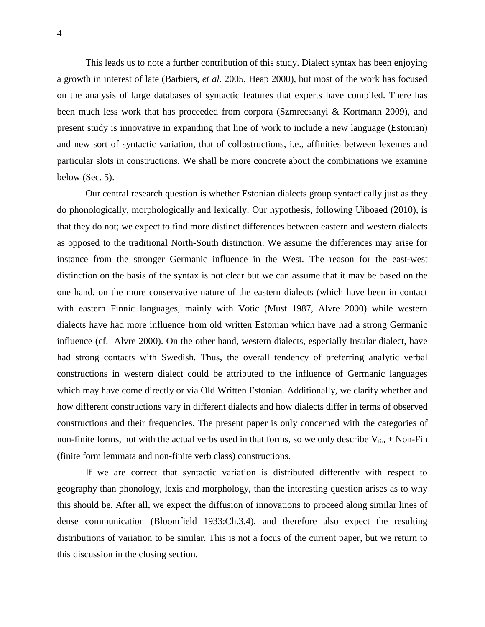This leads us to note a further contribution of this study. Dialect syntax has been enjoying a growth in interest of late (Barbiers, *et al*. 2005, Heap 2000), but most of the work has focused on the analysis of large databases of syntactic features that experts have compiled. There has been much less work that has proceeded from corpora (Szmrecsanyi & Kortmann 2009), and present study is innovative in expanding that line of work to include a new language (Estonian) and new sort of syntactic variation, that of collostructions, i.e., affinities between lexemes and particular slots in constructions. We shall be more concrete about the combinations we examine below (Sec. 5).

Our central research question is whether Estonian dialects group syntactically just as they do phonologically, morphologically and lexically. Our hypothesis, following Uiboaed (2010), is that they do not; we expect to find more distinct differences between eastern and western dialects as opposed to the traditional North-South distinction. We assume the differences may arise for instance from the stronger Germanic influence in the West. The reason for the east-west distinction on the basis of the syntax is not clear but we can assume that it may be based on the one hand, on the more conservative nature of the eastern dialects (which have been in contact with eastern Finnic languages, mainly with Votic (Must 1987, Alvre 2000) while western dialects have had more influence from old written Estonian which have had a strong Germanic influence (cf. Alvre 2000). On the other hand, western dialects, especially Insular dialect, have had strong contacts with Swedish. Thus, the overall tendency of preferring analytic verbal constructions in western dialect could be attributed to the influence of Germanic languages which may have come directly or via Old Written Estonian. Additionally, we clarify whether and how different constructions vary in different dialects and how dialects differ in terms of observed constructions and their frequencies. The present paper is only concerned with the categories of non-finite forms, not with the actual verbs used in that forms, so we only describe  $V_{fin}$  + Non-Fin (finite form lemmata and non-finite verb class) constructions.

If we are correct that syntactic variation is distributed differently with respect to geography than phonology, lexis and morphology, than the interesting question arises as to why this should be. After all, we expect the diffusion of innovations to proceed along similar lines of dense communication (Bloomfield 1933:Ch.3.4), and therefore also expect the resulting distributions of variation to be similar. This is not a focus of the current paper, but we return to this discussion in the closing section.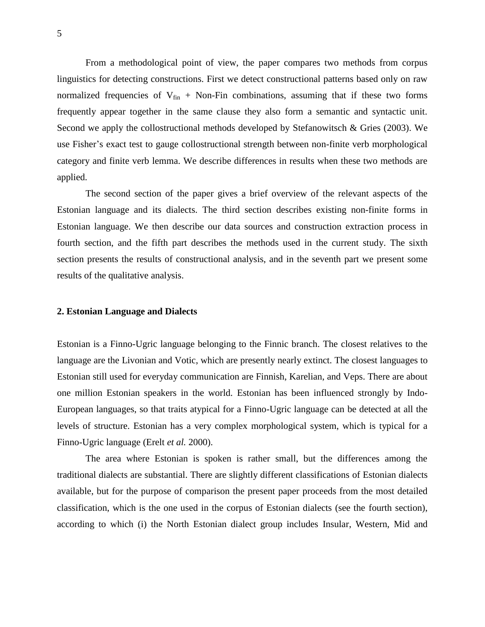From a methodological point of view, the paper compares two methods from corpus linguistics for detecting constructions. First we detect constructional patterns based only on raw normalized frequencies of  $V_{fin}$  + Non-Fin combinations, assuming that if these two forms frequently appear together in the same clause they also form a semantic and syntactic unit. Second we apply the collostructional methods developed by Stefanowitsch & Gries (2003). We use Fisher's exact test to gauge collostructional strength between non-finite verb morphological category and finite verb lemma. We describe differences in results when these two methods are applied.

The second section of the paper gives a brief overview of the relevant aspects of the Estonian language and its dialects. The third section describes existing non-finite forms in Estonian language. We then describe our data sources and construction extraction process in fourth section, and the fifth part describes the methods used in the current study. The sixth section presents the results of constructional analysis, and in the seventh part we present some results of the qualitative analysis.

#### **2. Estonian Language and Dialects**

Estonian is a Finno-Ugric language belonging to the Finnic branch. The closest relatives to the language are the Livonian and Votic, which are presently nearly extinct. The closest languages to Estonian still used for everyday communication are Finnish, Karelian, and Veps. There are about one million Estonian speakers in the world. Estonian has been influenced strongly by Indo-European languages, so that traits atypical for a Finno-Ugric language can be detected at all the levels of structure. Estonian has a very complex morphological system, which is typical for a Finno-Ugric language (Erelt *et al.* 2000).

The area where Estonian is spoken is rather small, but the differences among the traditional dialects are substantial. There are slightly different classifications of Estonian dialects available, but for the purpose of comparison the present paper proceeds from the most detailed classification, which is the one used in the corpus of Estonian dialects (see the fourth section), according to which (i) the North Estonian dialect group includes Insular, Western, Mid and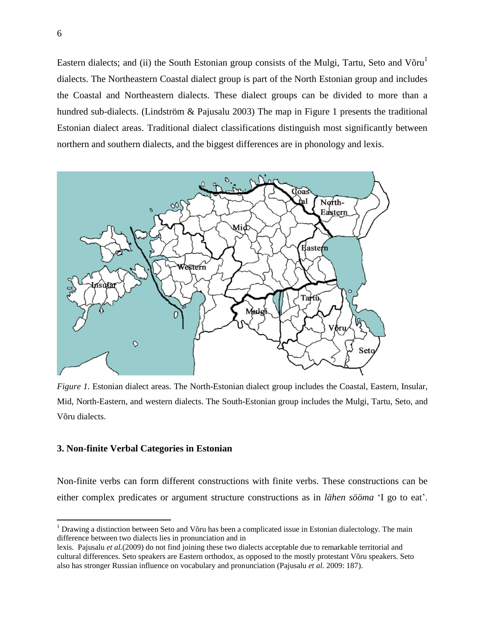Eastern dialects; and (ii) the South Estonian group consists of the Mulgi, Tartu, Seto and Võru<sup>1</sup> dialects. The Northeastern Coastal dialect group is part of the North Estonian group and includes the Coastal and Northeastern dialects. These dialect groups can be divided to more than a hundred sub-dialects. (Lindström & Pajusalu 2003) The map in Figure 1 presents the traditional Estonian dialect areas. Traditional dialect classifications distinguish most significantly between northern and southern dialects, and the biggest differences are in phonology and lexis.



*Figure 1.* Estonian dialect areas. The North-Estonian dialect group includes the Coastal, Eastern, Insular, Mid, North-Eastern, and western dialects. The South-Estonian group includes the Mulgi, Tartu, Seto, and Võru dialects.

#### **3. Non-finite Verbal Categories in Estonian**

Non-finite verbs can form different constructions with finite verbs. These constructions can be either complex predicates or argument structure constructions as in *lähen sööma* 'I go to eat'.

 $\overline{a}$ 

 $1$  Drawing a distinction between Seto and Võru has been a complicated issue in Estonian dialectology. The main difference between two dialects lies in pronunciation and in

lexis. Pajusalu *et al.*(2009) do not find joining these two dialects acceptable due to remarkable territorial and cultural differences. Seto speakers are Eastern orthodox, as opposed to the mostly protestant Võru speakers. Seto also has stronger Russian influence on vocabulary and pronunciation (Pajusalu *et al*. 2009: 187).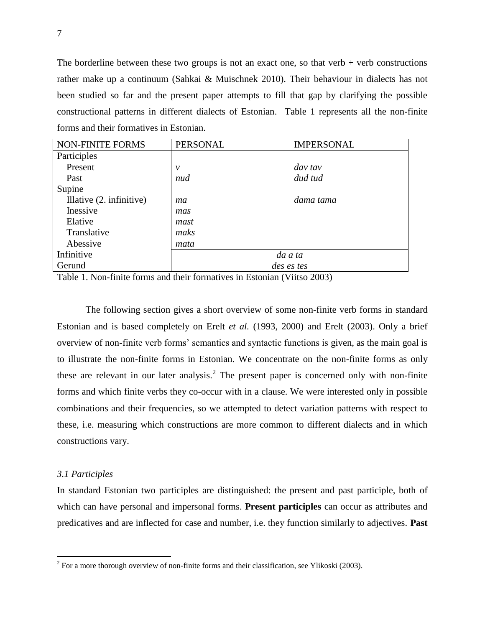The borderline between these two groups is not an exact one, so that verb  $+$  verb constructions rather make up a continuum (Sahkai & Muischnek 2010). Their behaviour in dialects has not been studied so far and the present paper attempts to fill that gap by clarifying the possible constructional patterns in different dialects of Estonian. Table 1 represents all the non-finite forms and their formatives in Estonian.

| <b>NON-FINITE FORMS</b>  | <b>PERSONAL</b> | <b>IMPERSONAL</b> |  |  |  |
|--------------------------|-----------------|-------------------|--|--|--|
| Participles              |                 |                   |  |  |  |
| Present                  | $\mathcal V$    | day tay           |  |  |  |
| Past                     | nud             | dud tud           |  |  |  |
| Supine                   |                 |                   |  |  |  |
| Illative (2. infinitive) | ma              | dama tama         |  |  |  |
| Inessive                 | mas             |                   |  |  |  |
| Elative                  | mast            |                   |  |  |  |
| Translative              | maks            |                   |  |  |  |
| Abessive                 | mata            |                   |  |  |  |
| Infinitive               | da a ta         |                   |  |  |  |
| Gerund                   | des es tes      |                   |  |  |  |

Table 1. Non-finite forms and their formatives in Estonian (Viitso 2003)

The following section gives a short overview of some non-finite verb forms in standard Estonian and is based completely on Erelt *et al.* (1993, 2000) and Erelt (2003). Only a brief overview of non-finite verb forms' semantics and syntactic functions is given, as the main goal is to illustrate the non-finite forms in Estonian. We concentrate on the non-finite forms as only these are relevant in our later analysis.<sup>2</sup> The present paper is concerned only with non-finite forms and which finite verbs they co-occur with in a clause. We were interested only in possible combinations and their frequencies, so we attempted to detect variation patterns with respect to these, i.e. measuring which constructions are more common to different dialects and in which constructions vary.

#### *3.1 Participles*

In standard Estonian two participles are distinguished: the present and past participle, both of which can have personal and impersonal forms. **Present participles** can occur as attributes and predicatives and are inflected for case and number, i.e. they function similarly to adjectives. **Past** 

<sup>&</sup>lt;sup>2</sup> For a more thorough overview of non-finite forms and their classification, see Ylikoski (2003).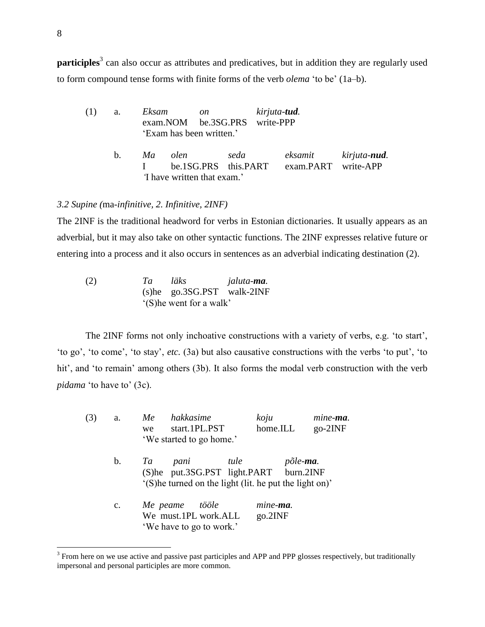**participles**<sup>3</sup> can also occur as attributes and predicatives, but in addition they are regularly used to form compound tense forms with finite forms of the verb *olema* 'to be' (1a–b).

| (1) | a.      | Eksam on<br>exam.NOM be.3SG.PRS write-PPP<br>'Exam has been written.' |      | kirjuta- <b>tud</b> .                                |  |
|-----|---------|-----------------------------------------------------------------------|------|------------------------------------------------------|--|
|     | $h_{-}$ | Ma olen<br>be.1SG.PRS this.PART<br>Thave written that exam.'          | seda | eksamit kirjuta- <b>nud</b> .<br>exam.PART write-APP |  |

#### *3.2 Supine (*ma*-infinitive, 2. Infinitive, 2INF)*

The 2INF is the traditional headword for verbs in Estonian dictionaries. It usually appears as an adverbial, but it may also take on other syntactic functions. The 2INF expresses relative future or entering into a process and it also occurs in sentences as an adverbial indicating destination (2).

(2) *Ta läks jaluta-ma.* (s)he go.3SG.PST walk-2INF '(S)he went for a walk'

The 2INF forms not only inchoative constructions with a variety of verbs, e.g. 'to start', 'to go', 'to come', 'to stay', *etc.* (3a) but also causative constructions with the verbs 'to put', 'to hit', and 'to remain' among others (3b). It also forms the modal verb construction with the verb *pidama* 'to have to' (3c).

| (3) | a.             | hakkasime<br>Me<br>start.1PL.PST<br>we                       | $k$ oju<br>home.ILL | mine-ma.<br>$go-2INF$ |
|-----|----------------|--------------------------------------------------------------|---------------------|-----------------------|
|     |                | 'We started to go home.'                                     |                     |                       |
|     | b.             | tule<br>Ta<br>pani<br>(S)he put.3SG.PST light.PART burn.2INF | põle-ma.            |                       |
|     |                | '(S) he turned on the light (lit. he put the light on)'      |                     |                       |
|     | $\mathbf{c}$ . | Me peame<br>tööle                                            | mine- <b>ma</b> .   |                       |
|     |                | We must.1PL work.ALL                                         | go.2INF             |                       |
|     |                | 'We have to go to work.'                                     |                     |                       |

 $3$  From here on we use active and passive past participles and APP and PPP glosses respectively, but traditionally impersonal and personal participles are more common.

 $\overline{a}$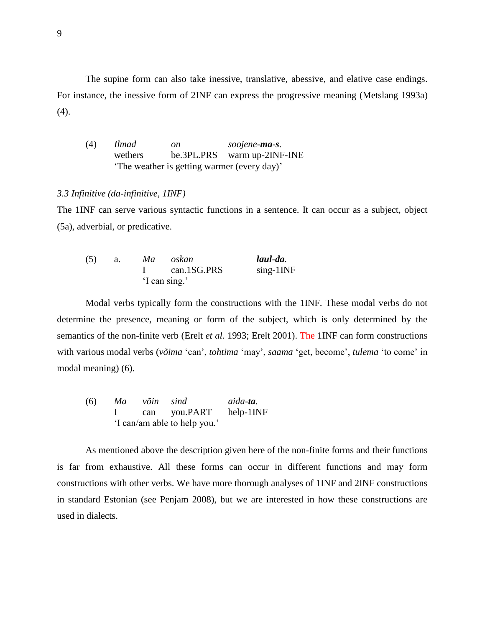The supine form can also take inessive, translative, abessive, and elative case endings. For instance, the inessive form of 2INF can express the progressive meaning (Metslang 1993a)  $(4).$ 

(4) *Ilmad on soojene-ma-s.* wethers be.3PL.PRS warm up-2INF-INE 'The weather is getting warmer (every day)'

#### *3.3 Infinitive (da-infinitive, 1INF)*

The 1INF can serve various syntactic functions in a sentence. It can occur as a subject, object (5a), adverbial, or predicative.

| (5) | Ma | oskan         | laul-da.     |
|-----|----|---------------|--------------|
|     |    | can.1SG.PRS   | $sing-1$ INF |
|     |    | 'I can sing.' |              |

Modal verbs typically form the constructions with the 1INF. These modal verbs do not determine the presence, meaning or form of the subject, which is only determined by the semantics of the non-finite verb (Erelt *et al.* 1993; Erelt 2001). The 1INF can form constructions with various modal verbs (*võima* 'can', *tohtima* 'may', *saama* 'get, become', *tulema* 'to come' in modal meaning) (6).

(6) 
$$
Ma
$$
  $v\delta in$   $sind$   $aida-ta$ .

\nI can you.PART help-1INF 'I can/am able to help you.'

As mentioned above the description given here of the non-finite forms and their functions is far from exhaustive. All these forms can occur in different functions and may form constructions with other verbs. We have more thorough analyses of 1INF and 2INF constructions in standard Estonian (see Penjam 2008), but we are interested in how these constructions are used in dialects.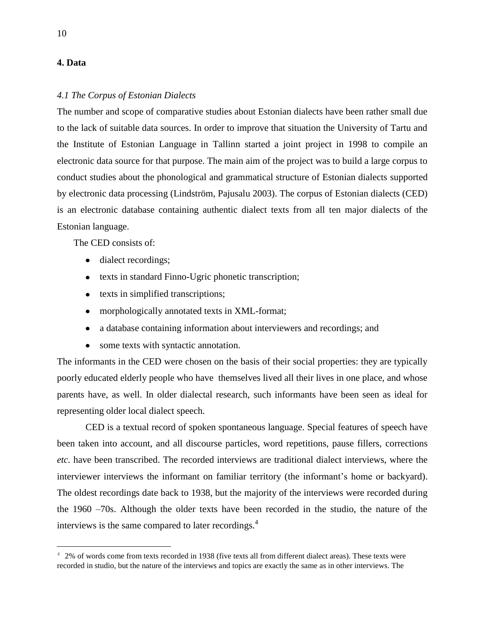#### **4. Data**

#### *4.1 The Corpus of Estonian Dialects*

The number and scope of comparative studies about Estonian dialects have been rather small due to the lack of suitable data sources. In order to improve that situation the University of Tartu and the Institute of Estonian Language in Tallinn started a joint project in 1998 to compile an electronic data source for that purpose. The main aim of the project was to build a large corpus to conduct studies about the phonological and grammatical structure of Estonian dialects supported by electronic data processing (Lindström, Pajusalu 2003). The corpus of Estonian dialects (CED) is an electronic database containing authentic dialect texts from all ten major dialects of the Estonian language.

The CED consists of:

- dialect recordings;
- texts in standard Finno-Ugric phonetic transcription;
- texts in simplified transcriptions;
- morphologically annotated texts in XML-format;
- a database containing information about interviewers and recordings; and
- some texts with syntactic annotation.

The informants in the CED were chosen on the basis of their social properties: they are typically poorly educated elderly people who have themselves lived all their lives in one place, and whose parents have, as well. In older dialectal research, such informants have been seen as ideal for representing older local dialect speech.

CED is a textual record of spoken spontaneous language. Special features of speech have been taken into account, and all discourse particles, word repetitions, pause fillers, corrections *etc.* have been transcribed. The recorded interviews are traditional dialect interviews, where the interviewer interviews the informant on familiar territory (the informant's home or backyard). The oldest recordings date back to 1938, but the majority of the interviews were recorded during the 1960 –70s. Although the older texts have been recorded in the studio, the nature of the interviews is the same compared to later recordings.<sup>4</sup>

 $\overline{a}$ 

<sup>&</sup>lt;sup>4</sup> 2% of words come from texts recorded in 1938 (five texts all from different dialect areas). These texts were recorded in studio, but the nature of the interviews and topics are exactly the same as in other interviews. The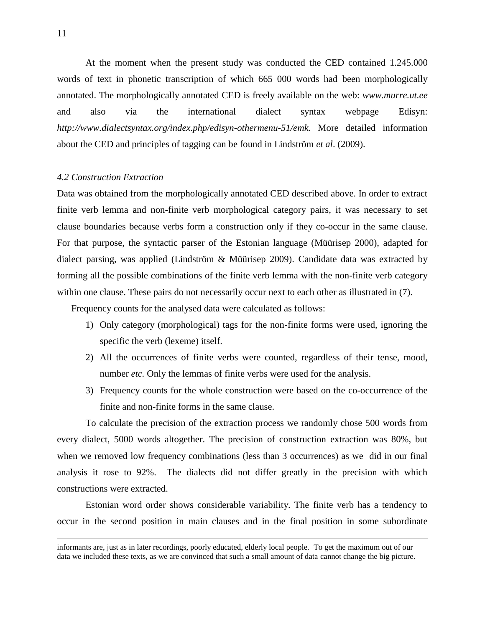At the moment when the present study was conducted the CED contained 1.245.000 words of text in phonetic transcription of which 665 000 words had been morphologically annotated. The morphologically annotated CED is freely available on the web: *[www.murre.ut.ee](http://www.murre.ut.ee/)* and also via the international dialect syntax webpage Edisyn: *[http://www.dialectsyntax.org/index.php/edisyn-othermenu-51/emk.](http://www.dialectsyntax.org/index.php/edisyn-othermenu-51/emk)* More detailed information about the CED and principles of tagging can be found in Lindström *et al*. (2009).

#### *4.2 Construction Extraction*

Data was obtained from the morphologically annotated CED described above. In order to extract finite verb lemma and non-finite verb morphological category pairs, it was necessary to set clause boundaries because verbs form a construction only if they co-occur in the same clause. For that purpose, the syntactic parser of the Estonian language (Müürisep 2000), adapted for dialect parsing, was applied (Lindström & Müürisep 2009). Candidate data was extracted by forming all the possible combinations of the finite verb lemma with the non-finite verb category within one clause. These pairs do not necessarily occur next to each other as illustrated in (7).

Frequency counts for the analysed data were calculated as follows:

- 1) Only category (morphological) tags for the non-finite forms were used, ignoring the specific the verb (lexeme) itself.
- 2) All the occurrences of finite verbs were counted, regardless of their tense, mood, number *etc.* Only the lemmas of finite verbs were used for the analysis.
- 3) Frequency counts for the whole construction were based on the co-occurrence of the finite and non-finite forms in the same clause.

To calculate the precision of the extraction process we randomly chose 500 words from every dialect, 5000 words altogether. The precision of construction extraction was 80%, but when we removed low frequency combinations (less than 3 occurrences) as we did in our final analysis it rose to 92%. The dialects did not differ greatly in the precision with which constructions were extracted.

Estonian word order shows considerable variability. The finite verb has a tendency to occur in the second position in main clauses and in the final position in some subordinate

 $\overline{a}$ 

informants are, just as in later recordings, poorly educated, elderly local people. To get the maximum out of our data we included these texts, as we are convinced that such a small amount of data cannot change the big picture.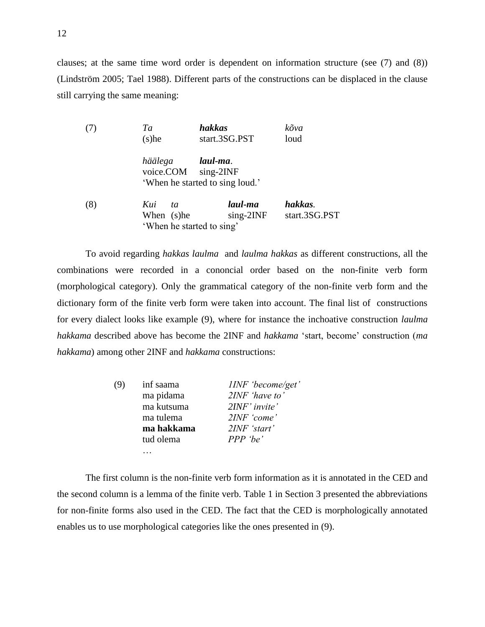clauses; at the same time word order is dependent on information structure (see (7) and (8)) (Lindström 2005; Tael 1988). Different parts of the constructions can be displaced in the clause still carrying the same meaning:

| (7) | hakkas<br>Ta<br>start.3SG.PST<br>$(s)$ he            |                                                            | kõva<br>loud             |  |  |
|-----|------------------------------------------------------|------------------------------------------------------------|--------------------------|--|--|
|     | häälega<br>voice.COM                                 | laul-ma.<br>$sing-2INF$<br>'When he started to sing loud.' |                          |  |  |
| (8) | Kui<br>ta<br>When (s)he<br>'When he started to sing' | laul-ma<br>$sing-2INF$                                     | hakkas.<br>start.3SG.PST |  |  |

To avoid regarding *hakkas laulma* and *laulma hakkas* as different constructions, all the combinations were recorded in a cononcial order based on the non-finite verb form (morphological category). Only the grammatical category of the non-finite verb form and the dictionary form of the finite verb form were taken into account. The final list of constructions for every dialect looks like example (9), where for instance the inchoative construction *laulma hakkama* described above has become the 2INF and *hakkama* 'start, become' construction (*ma hakkama*) among other 2INF and *hakkama* constructions:

| (9) | inf saama  | IINF 'become/get' |
|-----|------------|-------------------|
|     | ma pidama  | $2INF$ 'have to'  |
|     | ma kutsuma | $2INF'$ invite'   |
|     | ma tulema  | 2INF 'come'       |
|     | ma hakkama | $2INF$ 'start'    |
|     | tud olema  | $PPP$ 'be'        |
|     |            |                   |

The first column is the non-finite verb form information as it is annotated in the CED and the second column is a lemma of the finite verb. Table 1 in Section 3 presented the abbreviations for non-finite forms also used in the CED. The fact that the CED is morphologically annotated enables us to use morphological categories like the ones presented in (9).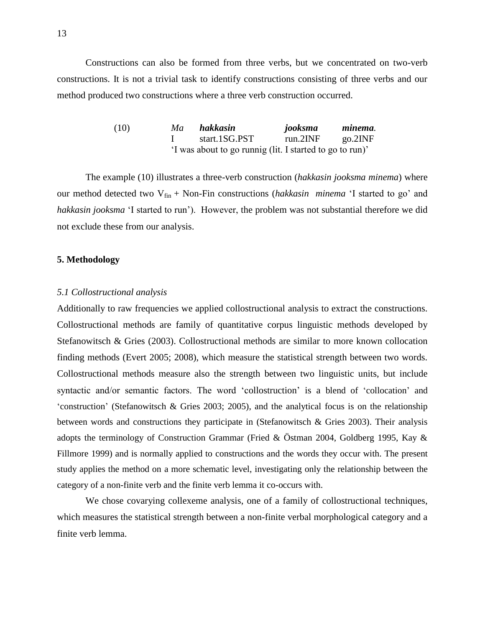Constructions can also be formed from three verbs, but we concentrated on two-verb constructions. It is not a trivial task to identify constructions consisting of three verbs and our method produced two constructions where a three verb construction occurred.

| (10) | Ma | hakkasin                                                 | jooksma  | minema. |
|------|----|----------------------------------------------------------|----------|---------|
|      |    | start.1SG.PST                                            | run.2INF | go.2INF |
|      |    | 'I was about to go runnig (lit. I started to go to run)' |          |         |

The example (10) illustrates a three-verb construction (*hakkasin jooksma minema*) where our method detected two V<sub>fin</sub> + Non-Fin constructions (*hakkasin minema* 'I started to go' and *hakkasin jooksma* 'I started to run'). However, the problem was not substantial therefore we did not exclude these from our analysis.

#### **5. Methodology**

#### *5.1 Collostructional analysis*

Additionally to raw frequencies we applied collostructional analysis to extract the constructions. Collostructional methods are family of quantitative corpus linguistic methods developed by Stefanowitsch & Gries (2003). Collostructional methods are similar to more known collocation finding methods (Evert 2005; 2008), which measure the statistical strength between two words. Collostructional methods measure also the strength between two linguistic units, but include syntactic and/or semantic factors. The word 'collostruction' is a blend of 'collocation' and 'construction' (Stefanowitsch & Gries 2003; 2005), and the analytical focus is on the relationship between words and constructions they participate in (Stefanowitsch & Gries 2003). Their analysis adopts the terminology of Construction Grammar (Fried & Östman 2004, Goldberg 1995, Kay & Fillmore 1999) and is normally applied to constructions and the words they occur with. The present study applies the method on a more schematic level, investigating only the relationship between the category of a non-finite verb and the finite verb lemma it co-occurs with.

We chose covarying collexeme analysis, one of a family of collostructional techniques, which measures the statistical strength between a non-finite verbal morphological category and a finite verb lemma.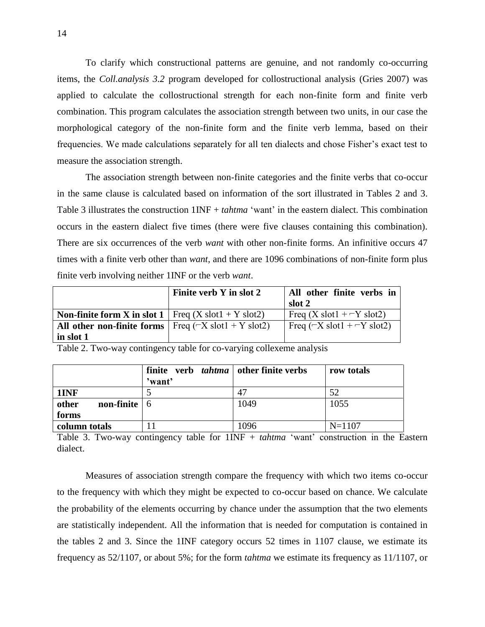To clarify which constructional patterns are genuine, and not randomly co-occurring items, the *Coll.analysis 3.2* program developed for collostructional analysis (Gries 2007) was applied to calculate the collostructional strength for each non-finite form and finite verb combination. This program calculates the association strength between two units, in our case the morphological category of the non-finite form and the finite verb lemma, based on their frequencies. We made calculations separately for all ten dialects and chose Fisher's exact test to measure the association strength.

The association strength between non-finite categories and the finite verbs that co-occur in the same clause is calculated based on information of the sort illustrated in Tables 2 and 3. Table 3 illustrates the construction 1INF + *tahtma* 'want' in the eastern dialect. This combination occurs in the eastern dialect five times (there were five clauses containing this combination). There are six occurrences of the verb *want* with other non-finite forms. An infinitive occurs 47 times with a finite verb other than *want,* and there are 1096 combinations of non-finite form plus finite verb involving neither 1INF or the verb *want*.

|                                                                                   | Finite verb Y in slot 2 | All other finite verbs in<br>slot 2                    |
|-----------------------------------------------------------------------------------|-------------------------|--------------------------------------------------------|
| <b>Non-finite form X in slot 1</b>   Freq $(X \text{ slot} 1 + Y \text{ slot} 2)$ |                         | Freq $(X \text{ slot} 1 + -Y \text{ slot} 2)$          |
| All other non-finite forms $ $ Freq ( $-X$ slot $1 + Y$ slot $2$ )                |                         | Freq $(\neg X \text{ slot} 1 + \neg Y \text{ slot} 2)$ |
| in slot 1                                                                         |                         |                                                        |

|                                      | finite verb <i>tahtma</i>   other finite verbs<br>'want' |      | row totals |
|--------------------------------------|----------------------------------------------------------|------|------------|
| 1INF                                 |                                                          |      | 52         |
| other<br><b>non-finite</b> $\vert 6$ |                                                          | 1049 | 1055       |
| forms                                |                                                          |      |            |
| column totals                        |                                                          | 1096 | $N = 1107$ |

Table 2. Two-way contingency table for co-varying collexeme analysis

Table 3. Two-way contingency table for 1INF + *tahtma* 'want' construction in the Eastern dialect.

Measures of association strength compare the frequency with which two items co-occur to the frequency with which they might be expected to co-occur based on chance. We calculate the probability of the elements occurring by chance under the assumption that the two elements are statistically independent. All the information that is needed for computation is contained in the tables 2 and 3. Since the 1INF category occurs 52 times in 1107 clause, we estimate its frequency as 52/1107, or about 5%; for the form *tahtma* we estimate its frequency as 11/1107, or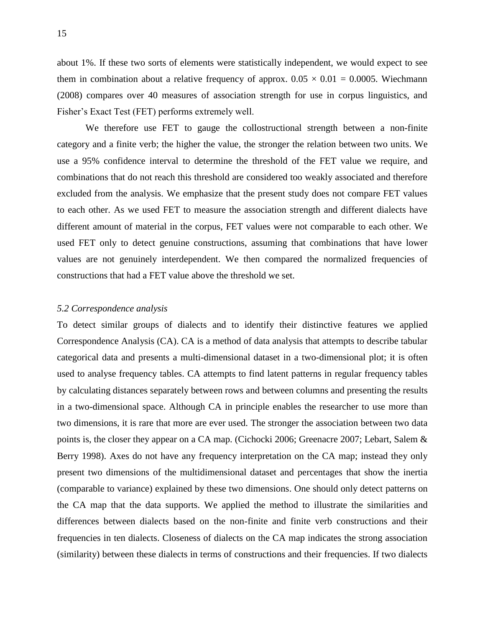about 1%. If these two sorts of elements were statistically independent, we would expect to see them in combination about a relative frequency of approx.  $0.05 \times 0.01 = 0.0005$ . Wiechmann (2008) compares over 40 measures of association strength for use in corpus linguistics, and Fisher's Exact Test (FET) performs extremely well.

We therefore use FET to gauge the collostructional strength between a non-finite category and a finite verb; the higher the value, the stronger the relation between two units. We use a 95% confidence interval to determine the threshold of the FET value we require, and combinations that do not reach this threshold are considered too weakly associated and therefore excluded from the analysis. We emphasize that the present study does not compare FET values to each other. As we used FET to measure the association strength and different dialects have different amount of material in the corpus, FET values were not comparable to each other. We used FET only to detect genuine constructions, assuming that combinations that have lower values are not genuinely interdependent. We then compared the normalized frequencies of constructions that had a FET value above the threshold we set.

#### *5.2 Correspondence analysis*

To detect similar groups of dialects and to identify their distinctive features we applied Correspondence Analysis (CA). CA is a method of data analysis that attempts to describe tabular categorical data and presents a multi-dimensional dataset in a two-dimensional plot; it is often used to analyse frequency tables. CA attempts to find latent patterns in regular frequency tables by calculating distances separately between rows and between columns and presenting the results in a two-dimensional space. Although CA in principle enables the researcher to use more than two dimensions, it is rare that more are ever used. The stronger the association between two data points is, the closer they appear on a CA map. (Cichocki 2006; Greenacre 2007; Lebart, Salem & Berry 1998). Axes do not have any frequency interpretation on the CA map; instead they only present two dimensions of the multidimensional dataset and percentages that show the inertia (comparable to variance) explained by these two dimensions. One should only detect patterns on the CA map that the data supports. We applied the method to illustrate the similarities and differences between dialects based on the non-finite and finite verb constructions and their frequencies in ten dialects. Closeness of dialects on the CA map indicates the strong association (similarity) between these dialects in terms of constructions and their frequencies. If two dialects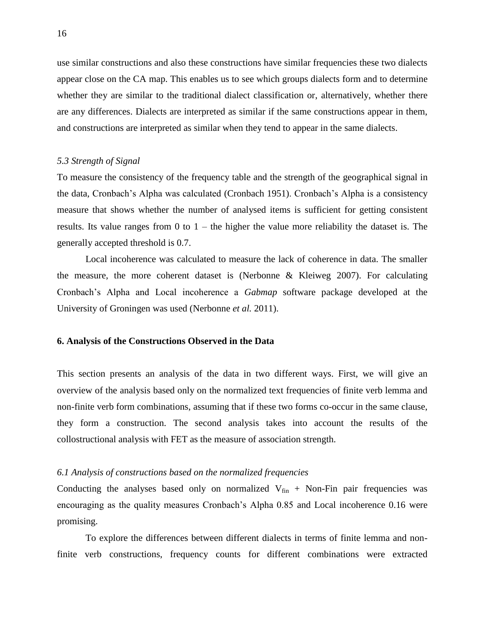use similar constructions and also these constructions have similar frequencies these two dialects appear close on the CA map. This enables us to see which groups dialects form and to determine whether they are similar to the traditional dialect classification or, alternatively, whether there are any differences. Dialects are interpreted as similar if the same constructions appear in them, and constructions are interpreted as similar when they tend to appear in the same dialects.

#### *5.3 Strength of Signal*

To measure the consistency of the frequency table and the strength of the geographical signal in the data, Cronbach's Alpha was calculated (Cronbach 1951). Cronbach's Alpha is a consistency measure that shows whether the number of analysed items is sufficient for getting consistent results. Its value ranges from 0 to  $1$  – the higher the value more reliability the dataset is. The generally accepted threshold is 0.7.

Local incoherence was calculated to measure the lack of coherence in data. The smaller the measure, the more coherent dataset is (Nerbonne & Kleiweg 2007). For calculating Cronbach's Alpha and Local incoherence a *Gabmap* software package developed at the University of Groningen was used (Nerbonne *et al.* 2011).

#### **6. Analysis of the Constructions Observed in the Data**

This section presents an analysis of the data in two different ways. First, we will give an overview of the analysis based only on the normalized text frequencies of finite verb lemma and non-finite verb form combinations, assuming that if these two forms co-occur in the same clause, they form a construction. The second analysis takes into account the results of the collostructional analysis with FET as the measure of association strength.

#### *6.1 Analysis of constructions based on the normalized frequencies*

Conducting the analyses based only on normalized  $V_{fin}$  + Non-Fin pair frequencies was encouraging as the quality measures Cronbach's Alpha 0.85 and Local incoherence 0.16 were promising.

To explore the differences between different dialects in terms of finite lemma and nonfinite verb constructions, frequency counts for different combinations were extracted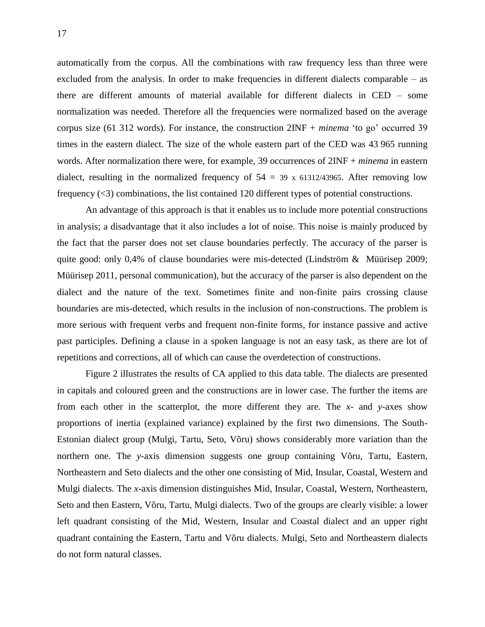automatically from the corpus. All the combinations with raw frequency less than three were excluded from the analysis. In order to make frequencies in different dialects comparable – as there are different amounts of material available for different dialects in CED – some normalization was needed. Therefore all the frequencies were normalized based on the average corpus size (61 312 words). For instance, the construction 2INF + *minema* 'to go' occurred 39 times in the eastern dialect. The size of the whole eastern part of the CED was 43 965 running words. After normalization there were, for example, 39 occurrences of 2INF + *minema* in eastern dialect, resulting in the normalized frequency of  $54 = 39$  x 61312/43965. After removing low frequency (<3) combinations, the list contained 120 different types of potential constructions.

An advantage of this approach is that it enables us to include more potential constructions in analysis; a disadvantage that it also includes a lot of noise. This noise is mainly produced by the fact that the parser does not set clause boundaries perfectly. The accuracy of the parser is quite good: only  $0.4\%$  of clause boundaries were mis-detected (Lindström & Müürisep 2009; Müürisep 2011, personal communication), but the accuracy of the parser is also dependent on the dialect and the nature of the text. Sometimes finite and non-finite pairs crossing clause boundaries are mis-detected, which results in the inclusion of non-constructions. The problem is more serious with frequent verbs and frequent non-finite forms, for instance passive and active past participles. Defining a clause in a spoken language is not an easy task, as there are lot of repetitions and corrections, all of which can cause the overdetection of constructions.

Figure 2 illustrates the results of CA applied to this data table. The dialects are presented in capitals and coloured green and the constructions are in lower case. The further the items are from each other in the scatterplot, the more different they are. The *x*- and *y*-axes show proportions of inertia (explained variance) explained by the first two dimensions. The South-Estonian dialect group (Mulgi, Tartu, Seto, Võru) shows considerably more variation than the northern one. The *y*-axis dimension suggests one group containing Võru, Tartu, Eastern, Northeastern and Seto dialects and the other one consisting of Mid, Insular, Coastal, Western and Mulgi dialects. The *x*-axis dimension distinguishes Mid, Insular, Coastal, Western, Northeastern, Seto and then Eastern, Võru, Tartu, Mulgi dialects. Two of the groups are clearly visible: a lower left quadrant consisting of the Mid, Western, Insular and Coastal dialect and an upper right quadrant containing the Eastern, Tartu and Võru dialects. Mulgi, Seto and Northeastern dialects do not form natural classes.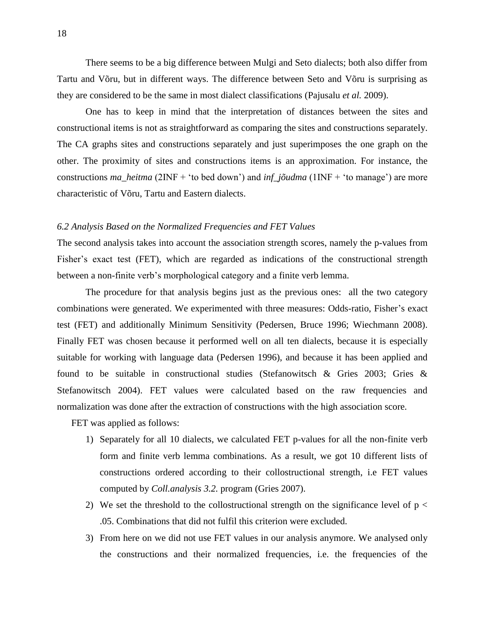There seems to be a big difference between Mulgi and Seto dialects; both also differ from Tartu and Võru, but in different ways. The difference between Seto and Võru is surprising as they are considered to be the same in most dialect classifications (Pajusalu *et al.* 2009).

One has to keep in mind that the interpretation of distances between the sites and constructional items is not as straightforward as comparing the sites and constructions separately. The CA graphs sites and constructions separately and just superimposes the one graph on the other. The proximity of sites and constructions items is an approximation. For instance, the constructions *ma\_heitma* (2INF + 'to bed down') and *inf*\_*jõudma* (1INF + 'to manage') are more characteristic of Võru, Tartu and Eastern dialects.

#### *6.2 Analysis Based on the Normalized Frequencies and FET Values*

The second analysis takes into account the association strength scores, namely the p-values from Fisher's exact test (FET), which are regarded as indications of the constructional strength between a non-finite verb's morphological category and a finite verb lemma.

The procedure for that analysis begins just as the previous ones: all the two category combinations were generated. We experimented with three measures: Odds-ratio, Fisher's exact test (FET) and additionally Minimum Sensitivity (Pedersen, Bruce 1996; Wiechmann 2008). Finally FET was chosen because it performed well on all ten dialects, because it is especially suitable for working with language data (Pedersen 1996), and because it has been applied and found to be suitable in constructional studies (Stefanowitsch & Gries 2003; Gries & Stefanowitsch 2004). FET values were calculated based on the raw frequencies and normalization was done after the extraction of constructions with the high association score.

FET was applied as follows:

- 1) Separately for all 10 dialects, we calculated FET p-values for all the non-finite verb form and finite verb lemma combinations. As a result, we got 10 different lists of constructions ordered according to their collostructional strength, i.e FET values computed by *Coll.analysis 3.2.* program (Gries 2007).
- 2) We set the threshold to the collostructional strength on the significance level of  $p <$ .05. Combinations that did not fulfil this criterion were excluded.
- 3) From here on we did not use FET values in our analysis anymore. We analysed only the constructions and their normalized frequencies, i.e. the frequencies of the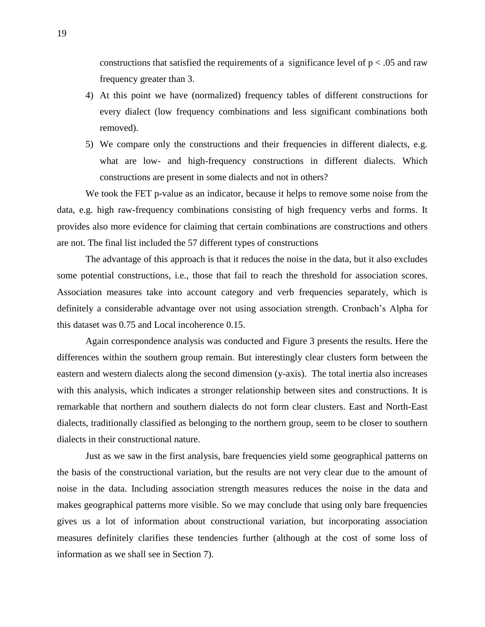constructions that satisfied the requirements of a significance level of  $p < .05$  and raw frequency greater than 3.

- 4) At this point we have (normalized) frequency tables of different constructions for every dialect (low frequency combinations and less significant combinations both removed).
- 5) We compare only the constructions and their frequencies in different dialects, e.g. what are low- and high-frequency constructions in different dialects. Which constructions are present in some dialects and not in others?

We took the FET p-value as an indicator, because it helps to remove some noise from the data, e.g. high raw-frequency combinations consisting of high frequency verbs and forms. It provides also more evidence for claiming that certain combinations are constructions and others are not. The final list included the 57 different types of constructions

The advantage of this approach is that it reduces the noise in the data, but it also excludes some potential constructions, i.e., those that fail to reach the threshold for association scores. Association measures take into account category and verb frequencies separately, which is definitely a considerable advantage over not using association strength. Cronbach's Alpha for this dataset was 0.75 and Local incoherence 0.15.

Again correspondence analysis was conducted and Figure 3 presents the results. Here the differences within the southern group remain. But interestingly clear clusters form between the eastern and western dialects along the second dimension (y-axis). The total inertia also increases with this analysis, which indicates a stronger relationship between sites and constructions. It is remarkable that northern and southern dialects do not form clear clusters. East and North-East dialects, traditionally classified as belonging to the northern group, seem to be closer to southern dialects in their constructional nature.

Just as we saw in the first analysis, bare frequencies yield some geographical patterns on the basis of the constructional variation, but the results are not very clear due to the amount of noise in the data. Including association strength measures reduces the noise in the data and makes geographical patterns more visible. So we may conclude that using only bare frequencies gives us a lot of information about constructional variation, but incorporating association measures definitely clarifies these tendencies further (although at the cost of some loss of information as we shall see in Section 7).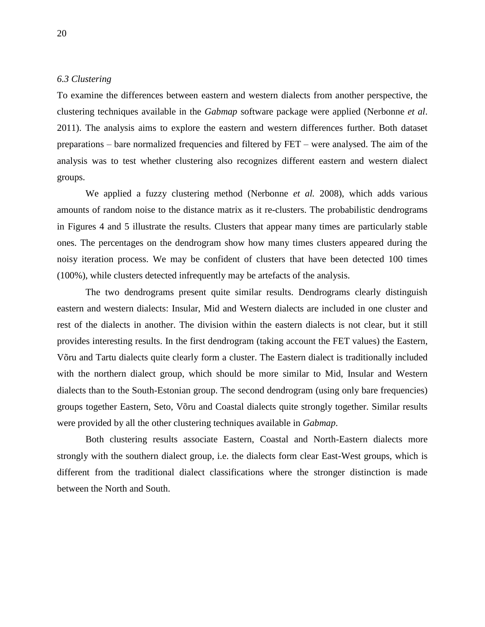#### *6.3 Clustering*

To examine the differences between eastern and western dialects from another perspective, the clustering techniques available in the *Gabmap* software package were applied (Nerbonne *et al*. 2011). The analysis aims to explore the eastern and western differences further. Both dataset preparations – bare normalized frequencies and filtered by FET – were analysed. The aim of the analysis was to test whether clustering also recognizes different eastern and western dialect groups.

We applied a fuzzy clustering method (Nerbonne *et al.* 2008), which adds various amounts of random noise to the distance matrix as it re-clusters. The probabilistic dendrograms in Figures 4 and 5 illustrate the results. Clusters that appear many times are particularly stable ones. The percentages on the dendrogram show how many times clusters appeared during the noisy iteration process. We may be confident of clusters that have been detected 100 times (100%), while clusters detected infrequently may be artefacts of the analysis.

The two dendrograms present quite similar results. Dendrograms clearly distinguish eastern and western dialects: Insular, Mid and Western dialects are included in one cluster and rest of the dialects in another. The division within the eastern dialects is not clear, but it still provides interesting results. In the first dendrogram (taking account the FET values) the Eastern, Võru and Tartu dialects quite clearly form a cluster. The Eastern dialect is traditionally included with the northern dialect group, which should be more similar to Mid, Insular and Western dialects than to the South-Estonian group. The second dendrogram (using only bare frequencies) groups together Eastern, Seto, Võru and Coastal dialects quite strongly together. Similar results were provided by all the other clustering techniques available in *Gabmap*.

Both clustering results associate Eastern, Coastal and North-Eastern dialects more strongly with the southern dialect group, i.e. the dialects form clear East-West groups, which is different from the traditional dialect classifications where the stronger distinction is made between the North and South.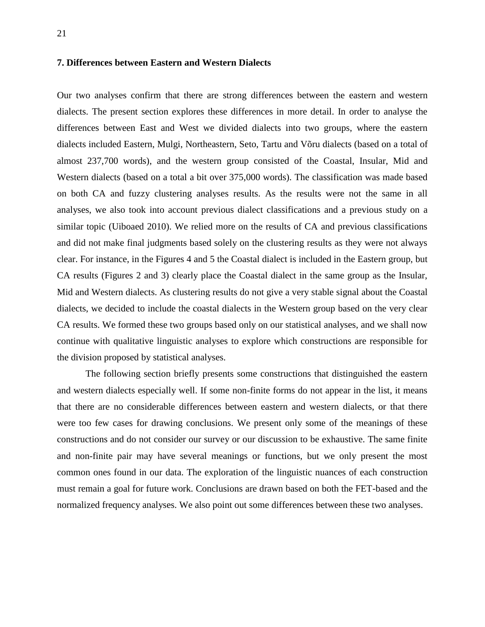#### **7. Differences between Eastern and Western Dialects**

Our two analyses confirm that there are strong differences between the eastern and western dialects. The present section explores these differences in more detail. In order to analyse the differences between East and West we divided dialects into two groups, where the eastern dialects included Eastern, Mulgi, Northeastern, Seto, Tartu and Võru dialects (based on a total of almost 237,700 words), and the western group consisted of the Coastal, Insular, Mid and Western dialects (based on a total a bit over 375,000 words). The classification was made based on both CA and fuzzy clustering analyses results. As the results were not the same in all analyses, we also took into account previous dialect classifications and a previous study on a similar topic (Uiboaed 2010). We relied more on the results of CA and previous classifications and did not make final judgments based solely on the clustering results as they were not always clear. For instance, in the Figures 4 and 5 the Coastal dialect is included in the Eastern group, but CA results (Figures 2 and 3) clearly place the Coastal dialect in the same group as the Insular, Mid and Western dialects. As clustering results do not give a very stable signal about the Coastal dialects, we decided to include the coastal dialects in the Western group based on the very clear CA results. We formed these two groups based only on our statistical analyses, and we shall now continue with qualitative linguistic analyses to explore which constructions are responsible for the division proposed by statistical analyses.

The following section briefly presents some constructions that distinguished the eastern and western dialects especially well. If some non-finite forms do not appear in the list, it means that there are no considerable differences between eastern and western dialects, or that there were too few cases for drawing conclusions. We present only some of the meanings of these constructions and do not consider our survey or our discussion to be exhaustive. The same finite and non-finite pair may have several meanings or functions, but we only present the most common ones found in our data. The exploration of the linguistic nuances of each construction must remain a goal for future work. Conclusions are drawn based on both the FET-based and the normalized frequency analyses. We also point out some differences between these two analyses.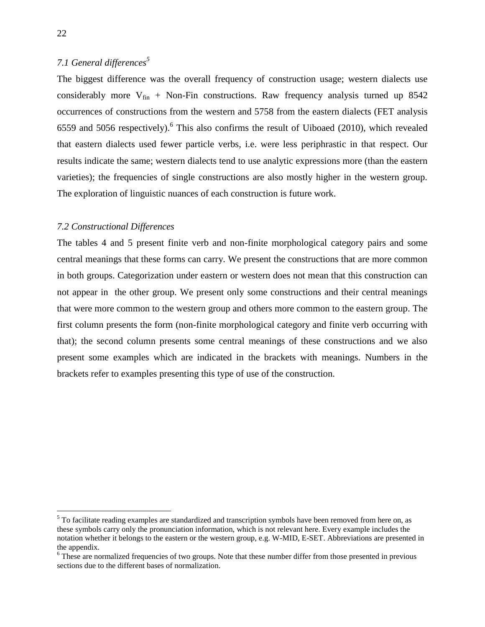### *7.1 General differences<sup>5</sup>*

The biggest difference was the overall frequency of construction usage; western dialects use considerably more  $V_{fin}$  + Non-Fin constructions. Raw frequency analysis turned up 8542 occurrences of constructions from the western and 5758 from the eastern dialects (FET analysis 6559 and 5056 respectively). <sup>6</sup> This also confirms the result of Uiboaed (2010), which revealed that eastern dialects used fewer particle verbs, i.e. were less periphrastic in that respect. Our results indicate the same; western dialects tend to use analytic expressions more (than the eastern varieties); the frequencies of single constructions are also mostly higher in the western group. The exploration of linguistic nuances of each construction is future work.

#### *7.2 Constructional Differences*

The tables 4 and 5 present finite verb and non-finite morphological category pairs and some central meanings that these forms can carry. We present the constructions that are more common in both groups. Categorization under eastern or western does not mean that this construction can not appear in the other group. We present only some constructions and their central meanings that were more common to the western group and others more common to the eastern group. The first column presents the form (non-finite morphological category and finite verb occurring with that); the second column presents some central meanings of these constructions and we also present some examples which are indicated in the brackets with meanings. Numbers in the brackets refer to examples presenting this type of use of the construction.

 $\overline{a}$ 

<sup>&</sup>lt;sup>5</sup> To facilitate reading examples are standardized and transcription symbols have been removed from here on, as these symbols carry only the pronunciation information, which is not relevant here. Every example includes the notation whether it belongs to the eastern or the western group, e.g. W-MID, E-SET. Abbreviations are presented in the appendix.

<sup>&</sup>lt;sup>6</sup> These are normalized frequencies of two groups. Note that these number differ from those presented in previous sections due to the different bases of normalization.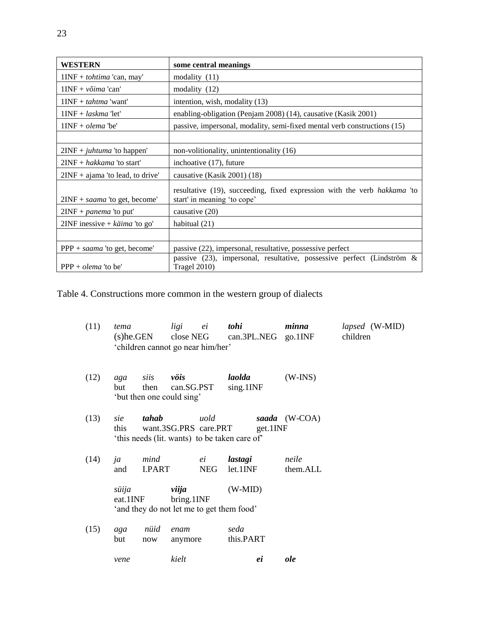| WESTERN                                | some central meanings                                                                                   |
|----------------------------------------|---------------------------------------------------------------------------------------------------------|
| $1INF + tohtima 'can, may'$            | modality $(11)$                                                                                         |
| $1INF + v\tilde{o}ima$ 'can'           | modality $(12)$                                                                                         |
| $1INF + \tau \times \mathcal{L}$ want' | intention, wish, modality (13)                                                                          |
| $1$ INF + <i>laskma</i> 'let'          | enabling-obligation (Penjam 2008) (14), causative (Kasik 2001)                                          |
| $1$ INF + <i>olema</i> 'be'            | passive, impersonal, modality, semi-fixed mental verb constructions (15)                                |
|                                        |                                                                                                         |
| $2INF + juhtuma$ 'to happen'           | non-volitionality, unintentionality (16)                                                                |
| $2INF + \hbox{hakkama}$ 'to start'     | inchoative (17), future                                                                                 |
| $2INF + ajama'$ to lead, to drive'     | causative (Kasik 2001) (18)                                                                             |
| $2INF + saama$ 'to get, become'        | resultative (19), succeeding, fixed expression with the verb hakkama 'to<br>start' in meaning 'to cope' |
| $2INF + panema$ 'to put'               | causative $(20)$                                                                                        |
| $2INF$ inessive + käima 'to go'        | habitual $(21)$                                                                                         |
|                                        |                                                                                                         |
| PPP + saama 'to get, become'           | passive (22), impersonal, resultative, possessive perfect                                               |
| $PPP + olema$ 'to be'                  | passive (23), impersonal, resultative, possessive perfect (Lindström $\&$<br><b>Tragel 2010)</b>        |

Table 4. Constructions more common in the western group of dialects

| (11) | tema<br>$(s)$ he.GEN | 'children cannot go near him/her'                     | ligi<br>close NEG     | ei               | tohi                   |          | minna<br>can.3PL.NEG go.1INF | children | <i>lapsed</i> (W-MID) |
|------|----------------------|-------------------------------------------------------|-----------------------|------------------|------------------------|----------|------------------------------|----------|-----------------------|
| (12) | aga<br>but.          | siis<br>then<br>'but then one could sing'             | vöis<br>can.SG.PST    |                  | laolda<br>sing.1INF    |          | $(W-INS)$                    |          |                       |
| (13) | sie<br>this.         | tahab<br>'this needs (lit. wants) to be taken care of | want.3SG.PRS care.PRT | uold             |                        | get.1INF | saada (W-COA)                |          |                       |
| (14) | ja<br>and            | mind<br><b>I.PART</b>                                 |                       | ei<br><b>NEG</b> | lastagi<br>$let.1$ INF |          | neile<br>them.ALL            |          |                       |
|      | süija<br>eat.1INF    | 'and they do not let me to get them food'             | viija<br>bring.1INF   |                  | $(W-MID)$              |          |                              |          |                       |
| (15) | aga<br>but           | nüid<br>now                                           | enam<br>anymore       |                  | seda<br>this.PART      |          |                              |          |                       |
|      | vene                 |                                                       | kielt                 |                  |                        | ei       | ole                          |          |                       |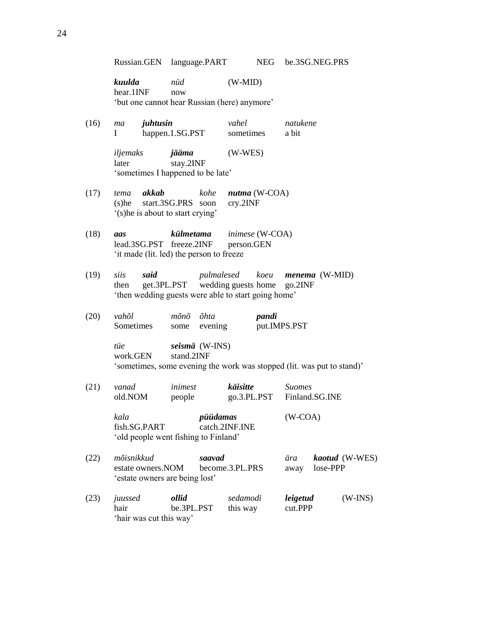Russian.GEN language.PART NEG be.3SG.NEG.PRS

*kuulda nüd* (W-MID) hear.1INF now 'but one cannot hear Russian (here) anymore'

(16) *ma juhtusin vahel natukene* I happen.1.SG.PST sometimes a bit

> *iljemaks jääma* (W-WES) later stay.2INF 'sometimes I happened to be late'

- (17) *tema akkab kohe nutma* (W-COA) (s)he start.3SG.PRS soon cry.2INF '(s)he is about to start crying'
- (18) *aas külmetama inimese* (W-COA) lead.3SG.PST freeze.2INF person.GEN 'it made (lit. led) the person to freeze
- (19) *siis said pulmalesed koeu menema* (W-MID) then get.3PL.PST wedding guests home go.2INF 'then wedding guests were able to start going home'
- (20) *vahõl mõnõ õhta pandi* Sometimes some evening put.IMPS.PST

*tüe seismä* (W-INS) work.GEN stand.2INF 'sometimes, some evening the work was stopped (lit. was put to stand)'

- (21) *vanad inimest käisitte Suomes* old.NOM people go.3.PL.PST Finland.SG.INE *kala püüdamas* (W-COA) fish.SG.PART catch.2INF.INE 'old people went fishing to Finland'
- (22) *mõisnikkud saavad ära kaotud* (W-WES) estate owners.NOM become.3.PL.PRS away lose-PPP 'estate owners are being lost'
- (23) *juussed ollid sedamodi leigetud* (W-INS) hair be.3PL.PST this way cut.PPP 'hair was cut this way'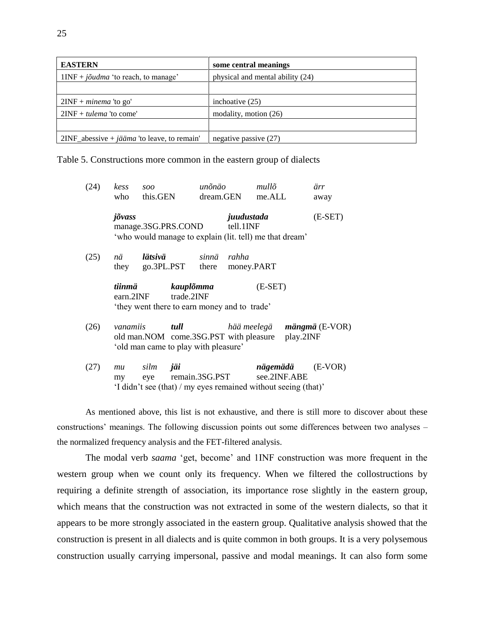| <b>EASTERN</b>                                                   | some central meanings            |
|------------------------------------------------------------------|----------------------------------|
| $1INF + j\tilde{\omega} u dma$ 'to reach, to manage'             | physical and mental ability (24) |
|                                                                  |                                  |
| $2INF + minema$ 'to go'                                          | inchoative $(25)$                |
| $2INF + tulema$ 'to come'                                        | modality, motion $(26)$          |
|                                                                  |                                  |
| $2INF_abessive + j\ddot{\alpha} = i\alpha$ 'to leave, to remain' | negative passive $(27)$          |

Table 5. Constructions more common in the eastern group of dialects

| (24) | kess<br>who                                                                                           | 500<br>this.GEN     |                                                                         | unõnäo                                         | dream.GEN                                                                          | mullõ<br>me.ALL          |  | ärr<br>away |
|------|-------------------------------------------------------------------------------------------------------|---------------------|-------------------------------------------------------------------------|------------------------------------------------|------------------------------------------------------------------------------------|--------------------------|--|-------------|
|      | jõvass                                                                                                | manage.3SG.PRS.COND |                                                                         |                                                | juudustada<br>tell.1INF<br>'who would manage to explain (lit. tell) me that dream' |                          |  | $(E-SET)$   |
| (25) | nä<br>they                                                                                            | lätsivä             | go.3PL.PST                                                              | sinnä<br>there                                 | rahha<br>money.PART                                                                |                          |  |             |
|      | tiinmä<br>earn.2INF                                                                                   |                     | kauplõmma<br>trade.2INF<br>'they went there to earn money and to trade' |                                                | $(E-SET)$                                                                          |                          |  |             |
| (26) | tull<br>vanamiis<br>old man. NOM come. 3SG. PST with pleasure<br>'old man came to play with pleasure' |                     |                                                                         | hää meelegä <b>mängmä</b> (E-VOR)<br>play.2INF |                                                                                    |                          |  |             |
| (27) | mu<br>my                                                                                              | silm<br>eye         | jäi                                                                     |                                                | remain.3SG.PST<br>'I didn't see (that) / my eyes remained without seeing (that)'   | nägemädä<br>see.2INF.ABE |  | $(E-VOR)$   |

As mentioned above, this list is not exhaustive, and there is still more to discover about these constructions' meanings. The following discussion points out some differences between two analyses – the normalized frequency analysis and the FET-filtered analysis.

The modal verb *saama* 'get, become' and 1INF construction was more frequent in the western group when we count only its frequency. When we filtered the collostructions by requiring a definite strength of association, its importance rose slightly in the eastern group, which means that the construction was not extracted in some of the western dialects, so that it appears to be more strongly associated in the eastern group. Qualitative analysis showed that the construction is present in all dialects and is quite common in both groups. It is a very polysemous construction usually carrying impersonal, passive and modal meanings. It can also form some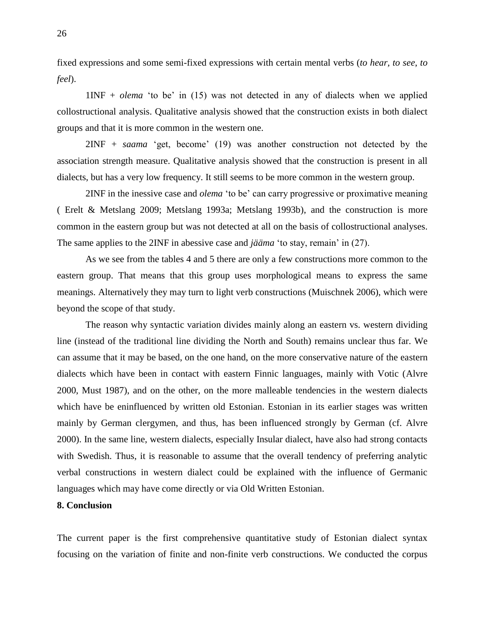fixed expressions and some semi-fixed expressions with certain mental verbs (*to hear, to see*, *to feel*).

1INF + *olema* 'to be' in (15) was not detected in any of dialects when we applied collostructional analysis. Qualitative analysis showed that the construction exists in both dialect groups and that it is more common in the western one.

2INF + *saama* 'get, become' (19) was another construction not detected by the association strength measure. Qualitative analysis showed that the construction is present in all dialects, but has a very low frequency. It still seems to be more common in the western group.

2INF in the inessive case and *olema* 'to be' can carry progressive or proximative meaning ( Erelt & Metslang 2009; Metslang 1993a; Metslang 1993b), and the construction is more common in the eastern group but was not detected at all on the basis of collostructional analyses. The same applies to the 2INF in abessive case and *jääma* 'to stay, remain' in (27).

As we see from the tables 4 and 5 there are only a few constructions more common to the eastern group. That means that this group uses morphological means to express the same meanings. Alternatively they may turn to light verb constructions (Muischnek 2006), which were beyond the scope of that study.

The reason why syntactic variation divides mainly along an eastern vs. western dividing line (instead of the traditional line dividing the North and South) remains unclear thus far. We can assume that it may be based, on the one hand, on the more conservative nature of the eastern dialects which have been in contact with eastern Finnic languages, mainly with Votic (Alvre 2000, Must 1987), and on the other, on the more malleable tendencies in the western dialects which have be eninfluenced by written old Estonian. Estonian in its earlier stages was written mainly by German clergymen, and thus, has been influenced strongly by German (cf. Alvre 2000). In the same line, western dialects, especially Insular dialect, have also had strong contacts with Swedish. Thus, it is reasonable to assume that the overall tendency of preferring analytic verbal constructions in western dialect could be explained with the influence of Germanic languages which may have come directly or via Old Written Estonian.

### **8. Conclusion**

The current paper is the first comprehensive quantitative study of Estonian dialect syntax focusing on the variation of finite and non-finite verb constructions. We conducted the corpus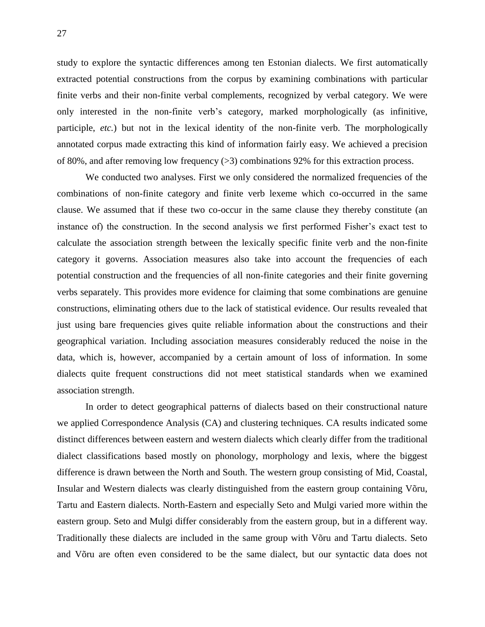study to explore the syntactic differences among ten Estonian dialects. We first automatically extracted potential constructions from the corpus by examining combinations with particular finite verbs and their non-finite verbal complements, recognized by verbal category. We were only interested in the non-finite verb's category, marked morphologically (as infinitive, participle, *etc.*) but not in the lexical identity of the non-finite verb. The morphologically annotated corpus made extracting this kind of information fairly easy. We achieved a precision of 80%, and after removing low frequency (>3) combinations 92% for this extraction process.

We conducted two analyses. First we only considered the normalized frequencies of the combinations of non-finite category and finite verb lexeme which co-occurred in the same clause. We assumed that if these two co-occur in the same clause they thereby constitute (an instance of) the construction. In the second analysis we first performed Fisher's exact test to calculate the association strength between the lexically specific finite verb and the non-finite category it governs. Association measures also take into account the frequencies of each potential construction and the frequencies of all non-finite categories and their finite governing verbs separately. This provides more evidence for claiming that some combinations are genuine constructions, eliminating others due to the lack of statistical evidence. Our results revealed that just using bare frequencies gives quite reliable information about the constructions and their geographical variation. Including association measures considerably reduced the noise in the data, which is, however, accompanied by a certain amount of loss of information. In some dialects quite frequent constructions did not meet statistical standards when we examined association strength.

In order to detect geographical patterns of dialects based on their constructional nature we applied Correspondence Analysis (CA) and clustering techniques. CA results indicated some distinct differences between eastern and western dialects which clearly differ from the traditional dialect classifications based mostly on phonology, morphology and lexis, where the biggest difference is drawn between the North and South. The western group consisting of Mid, Coastal, Insular and Western dialects was clearly distinguished from the eastern group containing Võru, Tartu and Eastern dialects. North-Eastern and especially Seto and Mulgi varied more within the eastern group. Seto and Mulgi differ considerably from the eastern group, but in a different way. Traditionally these dialects are included in the same group with Võru and Tartu dialects. Seto and Võru are often even considered to be the same dialect, but our syntactic data does not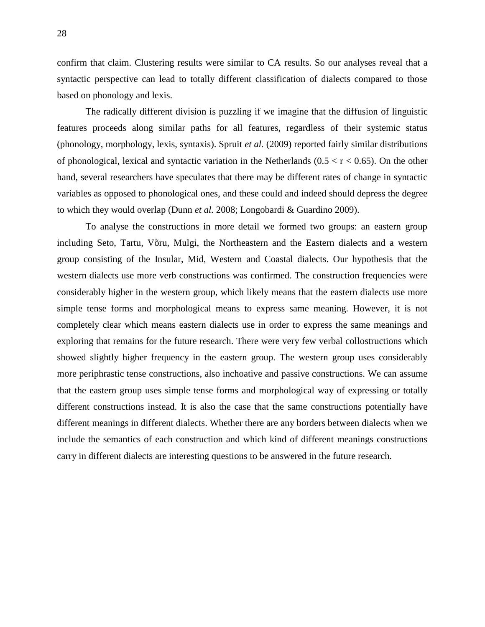confirm that claim. Clustering results were similar to CA results. So our analyses reveal that a syntactic perspective can lead to totally different classification of dialects compared to those based on phonology and lexis.

The radically different division is puzzling if we imagine that the diffusion of linguistic features proceeds along similar paths for all features, regardless of their systemic status (phonology, morphology, lexis, syntaxis). Spruit *et al.* (2009) reported fairly similar distributions of phonological, lexical and syntactic variation in the Netherlands ( $0.5 < r < 0.65$ ). On the other hand, several researchers have speculates that there may be different rates of change in syntactic variables as opposed to phonological ones, and these could and indeed should depress the degree to which they would overlap (Dunn *et al.* 2008; Longobardi & Guardino 2009).

To analyse the constructions in more detail we formed two groups: an eastern group including Seto, Tartu, Võru, Mulgi, the Northeastern and the Eastern dialects and a western group consisting of the Insular, Mid, Western and Coastal dialects. Our hypothesis that the western dialects use more verb constructions was confirmed. The construction frequencies were considerably higher in the western group, which likely means that the eastern dialects use more simple tense forms and morphological means to express same meaning. However, it is not completely clear which means eastern dialects use in order to express the same meanings and exploring that remains for the future research. There were very few verbal collostructions which showed slightly higher frequency in the eastern group. The western group uses considerably more periphrastic tense constructions, also inchoative and passive constructions. We can assume that the eastern group uses simple tense forms and morphological way of expressing or totally different constructions instead. It is also the case that the same constructions potentially have different meanings in different dialects. Whether there are any borders between dialects when we include the semantics of each construction and which kind of different meanings constructions carry in different dialects are interesting questions to be answered in the future research.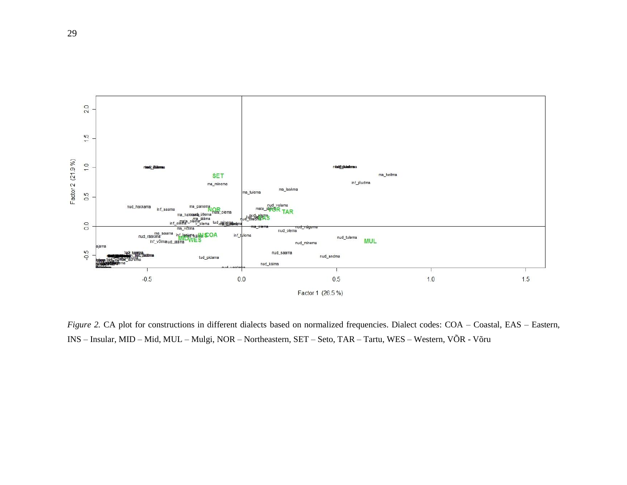

*Figure 2.* CA plot for constructions in different dialects based on normalized frequencies. Dialect codes: COA – Coastal, EAS – Eastern, INS – Insular, MID – Mid, MUL – Mulgi, NOR – Northeastern, SET – Seto, TAR – Tartu, WES – Western, VÕR - Võru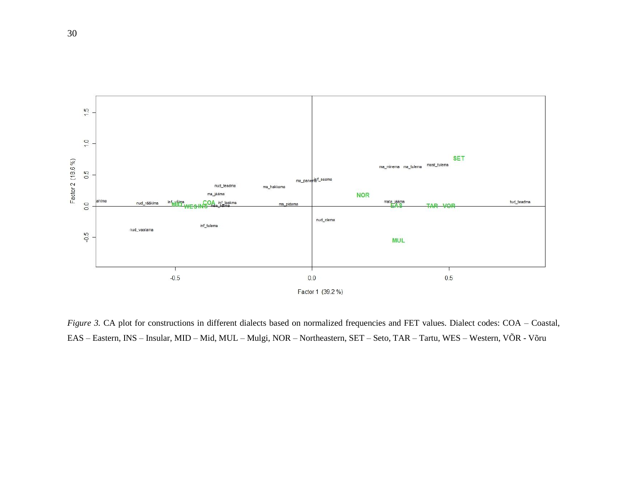

*Figure 3.* CA plot for constructions in different dialects based on normalized frequencies and FET values. Dialect codes: COA – Coastal, EAS – Eastern, INS – Insular, MID – Mid, MUL – Mulgi, NOR – Northeastern, SET – Seto, TAR – Tartu, WES – Western, VÕR - Võru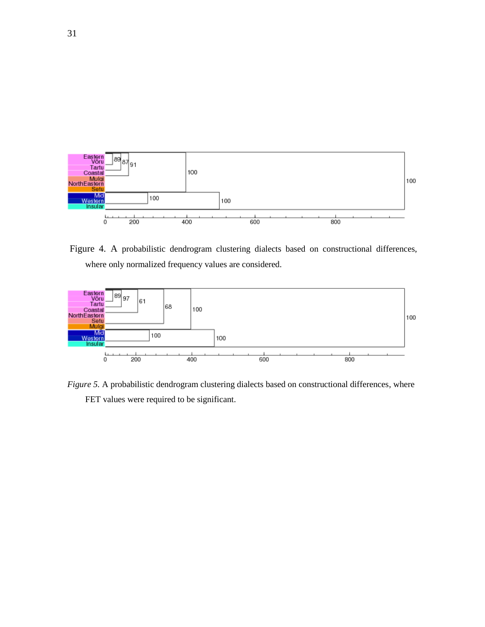

Figure 4. A probabilistic dendrogram clustering dialects based on constructional differences, where only normalized frequency values are considered.



*Figure 5.* A probabilistic dendrogram clustering dialects based on constructional differences, where FET values were required to be significant.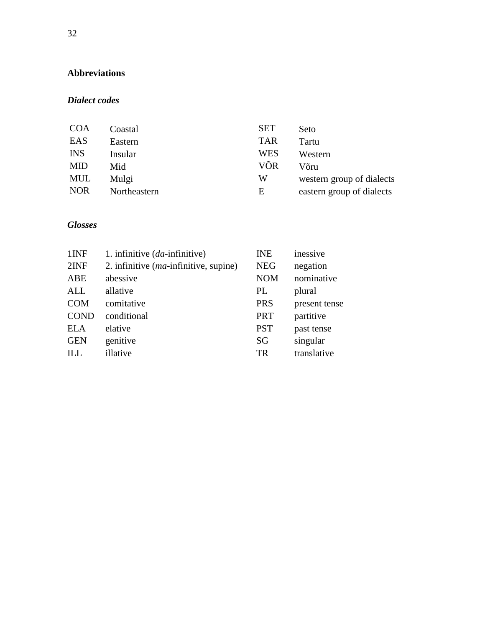# **Abbreviations**

### *Dialect codes*

| <b>COA</b> | Coastal      | <b>SET</b> | Seto                      |
|------------|--------------|------------|---------------------------|
| EAS        | Eastern      | <b>TAR</b> | Tartu                     |
| <b>INS</b> | Insular      | <b>WES</b> | Western                   |
| <b>MID</b> | Mid          | VÕR        | Võru                      |
| MUL        | Mulgi        | W          | western group of dialects |
| <b>NOR</b> | Northeastern | Ε          | eastern group of dialects |

## *Glosses*

| 1INF        | 1. infinitive $(da\text{-}\text{infinite})$ | <b>INE</b> | inessive      |
|-------------|---------------------------------------------|------------|---------------|
| 2INF        | 2. infinitive $(ma$ -infinitive, supine)    | <b>NEG</b> | negation      |
| ABE         | abessive                                    | <b>NOM</b> | nominative    |
| <b>ALL</b>  | allative                                    | PL         | plural        |
| <b>COM</b>  | comitative                                  | <b>PRS</b> | present tense |
| <b>COND</b> | conditional                                 | <b>PRT</b> | partitive     |
| <b>ELA</b>  | elative                                     | <b>PST</b> | past tense    |
| <b>GEN</b>  | genitive                                    | SG         | singular      |
| ILL         | illative                                    | TR         | translative   |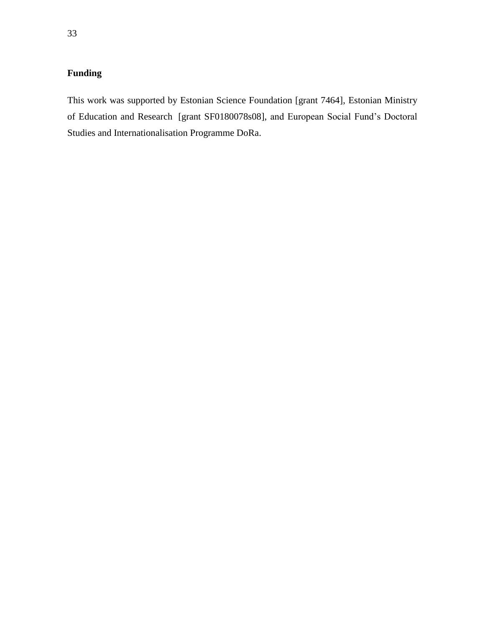# **Funding**

This work was supported by Estonian Science Foundation [grant 7464], Estonian Ministry of Education and Research [grant SF0180078s08], and European Social Fund's Doctoral Studies and Internationalisation Programme DoRa.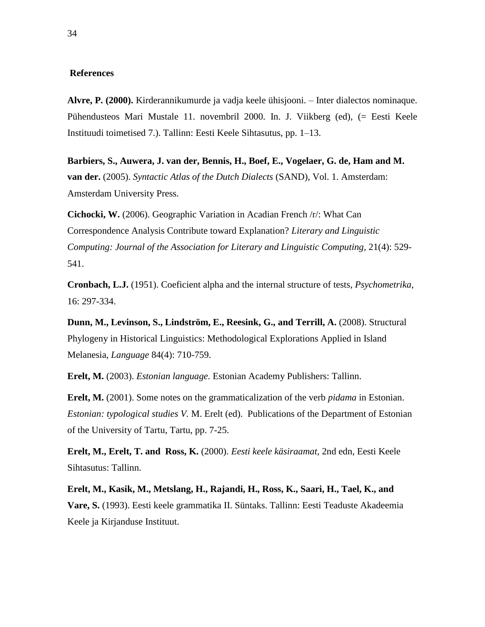#### **References**

**Alvre, P. (2000).** Kirderannikumurde ja vadja keele ühisjooni. – Inter dialectos nominaque. Pühendusteos Mari Mustale 11. novembril 2000. In. J. Viikberg (ed), (= Eesti Keele Instituudi toimetised 7.). Tallinn: Eesti Keele Sihtasutus, pp. 1–13.

**Barbiers, S., Auwera, J. van der, Bennis, H., Boef, E., Vogelaer, G. de, Ham and M. van der.** (2005). *Syntactic Atlas of the Dutch Dialects* (SAND), Vol. 1. Amsterdam: Amsterdam University Press.

**Cichocki, W.** (2006). Geographic Variation in Acadian French /r/: What Can Correspondence Analysis Contribute toward Explanation? *Literary and Linguistic Computing: Journal of the Association for Literary and Linguistic Computing,* 21(4): 529- 541.

**Cronbach, L.J.** (1951). Coeficient alpha and the internal structure of tests, *Psychometrika*, 16: 297-334.

**Dunn, M., Levinson, S., Lindström, E., Reesink, G., and Terrill, A.** (2008). Structural Phylogeny in Historical Linguistics: Methodological Explorations Applied in Island Melanesia, *Language* 84(4): 710-759.

**Erelt, M.** (2003). *Estonian language.* Estonian Academy Publishers: Tallinn.

**Erelt, M.** (2001). Some notes on the grammaticalization of the verb *pidama* in Estonian. *Estonian: typological studies V.* M. Erelt (ed). Publications of the Department of Estonian of the University of Tartu, Tartu, pp. 7-25.

**Erelt, M., Erelt, T. and Ross, K.** (2000). *Eesti keele käsiraamat,* 2nd edn, Eesti Keele Sihtasutus: Tallinn.

**Erelt, M., Kasik, M., Metslang, H., Rajandi, H., Ross, K., Saari, H., Tael, K., and Vare, S.** (1993). Eesti keele grammatika II. Süntaks. Tallinn: Eesti Teaduste Akadeemia Keele ja Kirjanduse Instituut.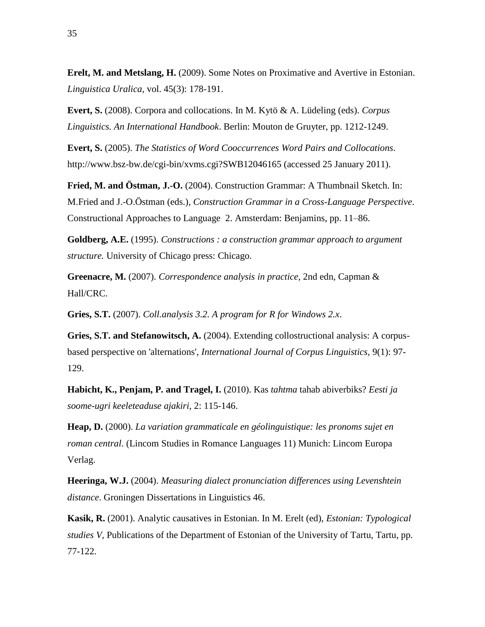**Erelt, M. and Metslang, H.** (2009). Some Notes on Proximative and Avertive in Estonian. *Linguistica Uralica,* vol. 45(3): 178-191.

**Evert, S.** (2008). Corpora and collocations. In M. Kytö & A. Lüdeling (eds). *Corpus Linguistics. An International Handbook*. Berlin: Mouton de Gruyter, pp. 1212-1249.

**Evert, S.** (2005). *The Statistics of Word Cooccurrences Word Pairs and Collocations*. http://www.bsz-bw.de/cgi-bin/xvms.cgi?SWB12046165 (accessed 25 January 2011).

**Fried, M. and Östman, J.-O.** (2004). Construction Grammar: A Thumbnail Sketch. In: M.Fried and J.-O.Östman (eds.), *Construction Grammar in a Cross-Language Perspective*. Constructional Approaches to Language 2. Amsterdam: Benjamins, pp. 11–86.

**Goldberg, A.E.** (1995). *Constructions : a construction grammar approach to argument structure.* University of Chicago press: Chicago.

**Greenacre, M.** (2007). *Correspondence analysis in practice,* 2nd edn, Capman & Hall/CRC.

**Gries, S.T.** (2007). *Coll.analysis 3.2. A program for R for Windows 2.x*.

**Gries, S.T. and Stefanowitsch, A.** (2004). Extending collostructional analysis: A corpusbased perspective on 'alternations', *International Journal of Corpus Linguistics,* 9(1): 97- 129.

**Habicht, K., Penjam, P. and Tragel, I.** (2010). Kas *tahtma* tahab abiverbiks? *Eesti ja soome-ugri keeleteaduse ajakiri,* 2: 115-146.

**Heap, D.** (2000). *La variation grammaticale en géolinguistique: les pronoms sujet en roman central*. (Lincom Studies in Romance Languages 11) Munich: Lincom Europa Verlag.

**Heeringa, W.J.** (2004). *Measuring dialect pronunciation differences using Levenshtein distance*. Groningen Dissertations in Linguistics 46.

**Kasik, R.** (2001). Analytic causatives in Estonian. In M. Erelt (ed), *Estonian: Typological studies V,* Publications of the Department of Estonian of the University of Tartu, Tartu, pp. 77-122.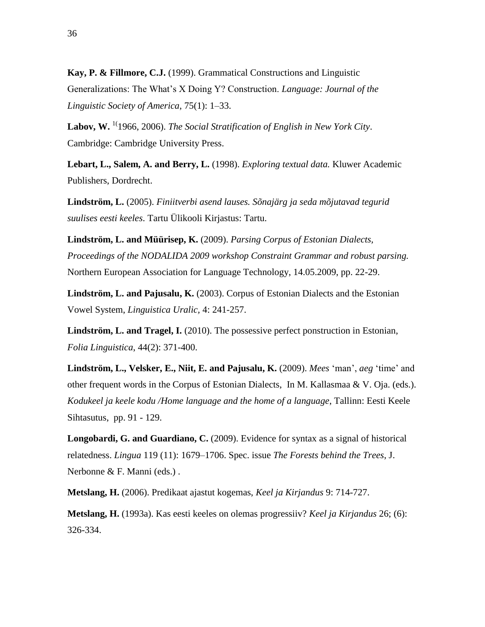**Kay, P. & Fillmore, C.J.** (1999). Grammatical Constructions and Linguistic Generalizations: The What's X Doing Y? Construction. *Language: Journal of the Linguistic Society of America*, 75(1): 1–33.

Labov, W. <sup>1(</sup>1966, 2006). *The Social Stratification of English in New York City*. Cambridge: Cambridge University Press.

**Lebart, L., Salem, A. and Berry, L.** (1998). *Exploring textual data.* Kluwer Academic Publishers, Dordrecht.

**Lindström, L.** (2005). *Finiitverbi asend lauses. Sõnajärg ja seda mõjutavad tegurid suulises eesti keeles*. Tartu Ülikooli Kirjastus: Tartu.

**Lindström, L. and Müürisep, K.** (2009). *Parsing Corpus of Estonian Dialects, Proceedings of the NODALIDA 2009 workshop Constraint Grammar and robust parsing.*  Northern European Association for Language Technology, 14.05.2009, pp. 22-29.

**Lindström, L. and Pajusalu, K.** (2003). Corpus of Estonian Dialects and the Estonian Vowel System, *Linguistica Uralic,* 4: 241-257.

**Lindström, L. and Tragel, I.** (2010). The possessive perfect ponstruction in Estonian, *Folia Linguistica*, 44(2): 371-400.

**[Lindström, L., Velsker, E., Niit, E.](javascript:__doPostBack() and Pajusalu, K.** (2009). *Mees* 'man', *aeg* 'time' and [other frequent words in the Corpus of Estonian Dialects, In M. Kallasmaa & V. Oja. \(eds.\).](javascript:__doPostBack()  *[Kodukeel ja keele kodu /Home language and the home of a language](javascript:__doPostBack()*, Tallinn: Eesti Keele [Sihtasutus,](javascript:__doPostBack() pp. 91 - 129.

**Longobardi, G. and Guardiano, C.** (2009). Evidence for syntax as a signal of historical relatedness. *Lingua* 119 (11): 1679–1706. Spec. issue *The Forests behind the Trees*, J. Nerbonne & F. Manni (eds.) .

**Metslang, H.** (2006). Predikaat ajastut kogemas, *Keel ja Kirjandus* 9: 714-727.

**Metslang, H.** (1993a). Kas eesti keeles on olemas progressiiv? *Keel ja Kirjandus* 26; (6): 326-334.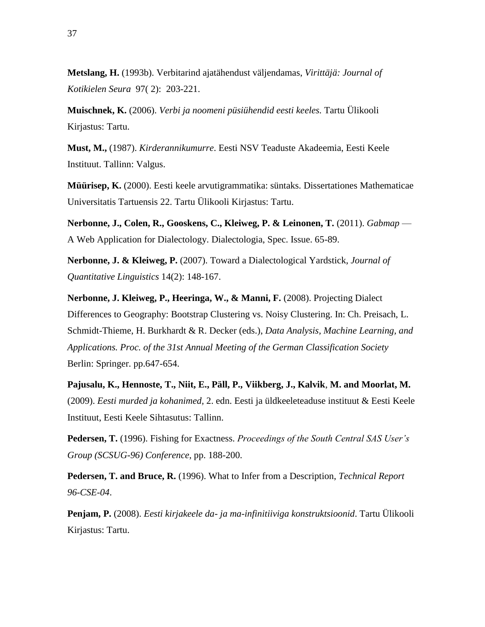**Metslang, H.** (1993b). Verbitarind ajatähendust väljendamas, *Virittäjä: Journal of Kotikielen Seura* 97( 2): 203-221.

**Muischnek, K.** (2006). *Verbi ja noomeni püsiühendid eesti keeles.* Tartu Ülikooli Kirjastus: Tartu.

**Must, M.,** (1987). *Kirderannikumurre*. Eesti NSV Teaduste Akadeemia, Eesti Keele Instituut. Tallinn: Valgus.

**Müürisep, K.** (2000). Eesti keele arvutigrammatika: süntaks. Dissertationes Mathematicae Universitatis Tartuensis 22. Tartu Ülikooli Kirjastus: Tartu.

**Nerbonne, J., Colen, R., Gooskens, C., Kleiweg, P. & Leinonen, T.** (2011). *Gabmap* — A Web Application for Dialectology. Dialectologia, Spec. Issue. 65-89.

**Nerbonne, J. & Kleiweg, P.** (2007). Toward a Dialectological Yardstick, *Journal of Quantitative Linguistics* 14(2): 148-167.

**Nerbonne, J. Kleiweg, P., Heeringa, W., & Manni, F.** (2008). Projecting Dialect Differences to Geography: Bootstrap Clustering vs. Noisy Clustering. In: Ch. Preisach, L. Schmidt-Thieme, H. Burkhardt & R. Decker (eds.), *Data Analysis, Machine Learning, and Applications. Proc. of the 31st Annual Meeting of the German Classification Society*  Berlin: Springer. pp.647-654.

**Pajusalu, K., Hennoste, T., Niit, E., Päll, P., Viikberg, J., Kalvik**, **M. and Moorlat, M.**  (2009). *Eesti murded ja kohanimed,* 2. edn. Eesti ja üldkeeleteaduse instituut & Eesti Keele Instituut, Eesti Keele Sihtasutus: Tallinn.

**Pedersen, T.** (1996). Fishing for Exactness. *Proceedings of the South Central SAS User's Group (SCSUG-96) Conference*, pp. 188-200.

**Pedersen, T. and Bruce, R.** (1996). What to Infer from a Description, *Technical Report 96-CSE-04*.

**Penjam, P.** (2008). *Eesti kirjakeele da- ja ma-infinitiiviga konstruktsioonid*. Tartu Ülikooli Kirjastus: Tartu.